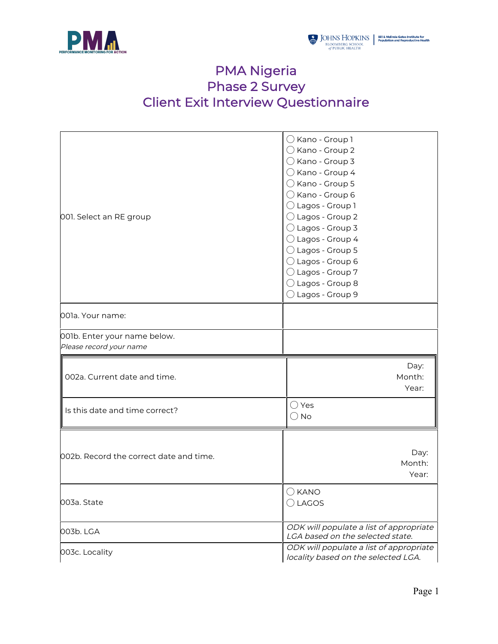

## PMA Nigeria Phase 2 Survey Client Exit Interview Questionnaire

| 001. Select an RE group                                 | $\bigcirc$ Kano - Group 1<br>$\bigcirc$ Kano - Group 2<br>$\bigcirc$ Kano - Group 3<br>$\bigcirc$ Kano - Group 4<br>$\bigcirc$ Kano - Group 5<br>$\bigcirc$ Kano - Group 6<br>◯ Lagos - Group 1<br>$\bigcirc$ Lagos - Group 2<br>$\bigcirc$ Lagos - Group 3<br>$\bigcirc$ Lagos - Group 4<br>$\bigcirc$ Lagos - Group 5<br>◯ Lagos - Group 6<br>$\bigcirc$ Lagos - Group 7<br>$\bigcirc$ Lagos - Group 8<br>$\bigcirc$ Lagos - Group 9 |
|---------------------------------------------------------|----------------------------------------------------------------------------------------------------------------------------------------------------------------------------------------------------------------------------------------------------------------------------------------------------------------------------------------------------------------------------------------------------------------------------------------|
| 001a. Your name:                                        |                                                                                                                                                                                                                                                                                                                                                                                                                                        |
| 001b. Enter your name below.<br>Please record your name |                                                                                                                                                                                                                                                                                                                                                                                                                                        |
| 002a. Current date and time.                            | Day:<br>Month:<br>Year:                                                                                                                                                                                                                                                                                                                                                                                                                |
| Is this date and time correct?                          | $\bigcirc$ Yes<br>$\bigcirc$ No                                                                                                                                                                                                                                                                                                                                                                                                        |
| 002b. Record the correct date and time.                 | Day:<br>Month:<br>Year:                                                                                                                                                                                                                                                                                                                                                                                                                |
| 003a. State                                             | $\bigcirc$ KANO<br>$\bigcirc$ LAGOS                                                                                                                                                                                                                                                                                                                                                                                                    |
| 003b. LGA                                               | ODK will populate a list of appropriate<br>LGA based on the selected state.                                                                                                                                                                                                                                                                                                                                                            |
| 003c. Locality                                          | ODK will populate a list of appropriate<br>locality based on the selected LGA.                                                                                                                                                                                                                                                                                                                                                         |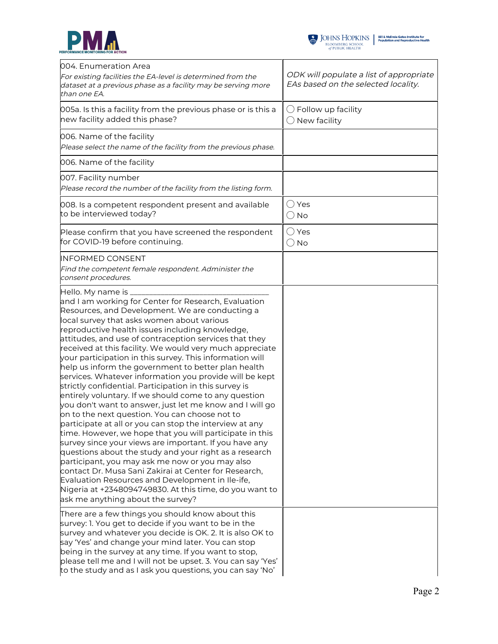



| l004. Enumeration Area<br>For existing facilities the EA-level is determined from the<br>dataset at a previous phase as a facility may be serving more<br>than one EA.                                                                                                                                                                                                                                                                                                                                                                                                                                                                                                                                                                                                                                                                                                                                                                                                                                                                                                                                                                                                                                                                                                        | ODK will populate a list of appropriate<br>EAs based on the selected locality. |
|-------------------------------------------------------------------------------------------------------------------------------------------------------------------------------------------------------------------------------------------------------------------------------------------------------------------------------------------------------------------------------------------------------------------------------------------------------------------------------------------------------------------------------------------------------------------------------------------------------------------------------------------------------------------------------------------------------------------------------------------------------------------------------------------------------------------------------------------------------------------------------------------------------------------------------------------------------------------------------------------------------------------------------------------------------------------------------------------------------------------------------------------------------------------------------------------------------------------------------------------------------------------------------|--------------------------------------------------------------------------------|
| 005a. Is this a facility from the previous phase or is this a<br>new facility added this phase?                                                                                                                                                                                                                                                                                                                                                                                                                                                                                                                                                                                                                                                                                                                                                                                                                                                                                                                                                                                                                                                                                                                                                                               | $\bigcirc$ Follow up facility<br>New facility                                  |
| 006. Name of the facility<br>Please select the name of the facility from the previous phase.                                                                                                                                                                                                                                                                                                                                                                                                                                                                                                                                                                                                                                                                                                                                                                                                                                                                                                                                                                                                                                                                                                                                                                                  |                                                                                |
| 006. Name of the facility                                                                                                                                                                                                                                                                                                                                                                                                                                                                                                                                                                                                                                                                                                                                                                                                                                                                                                                                                                                                                                                                                                                                                                                                                                                     |                                                                                |
| 007. Facility number<br>Please record the number of the facility from the listing form.                                                                                                                                                                                                                                                                                                                                                                                                                                                                                                                                                                                                                                                                                                                                                                                                                                                                                                                                                                                                                                                                                                                                                                                       |                                                                                |
| 008. Is a competent respondent present and available<br>to be interviewed today?                                                                                                                                                                                                                                                                                                                                                                                                                                                                                                                                                                                                                                                                                                                                                                                                                                                                                                                                                                                                                                                                                                                                                                                              | $\bigcirc$ Yes<br>$\bigcirc$ No                                                |
| Please confirm that you have screened the respondent<br>for COVID-19 before continuing.                                                                                                                                                                                                                                                                                                                                                                                                                                                                                                                                                                                                                                                                                                                                                                                                                                                                                                                                                                                                                                                                                                                                                                                       | $\bigcirc$ Yes<br>$\bigcirc$ No                                                |
| INFORMED CONSENT<br>Find the competent female respondent. Administer the<br>consent procedures.                                                                                                                                                                                                                                                                                                                                                                                                                                                                                                                                                                                                                                                                                                                                                                                                                                                                                                                                                                                                                                                                                                                                                                               |                                                                                |
| Hello. My name is<br>and I am working for Center for Research, Evaluation<br>Resources, and Development. We are conducting a<br>local survey that asks women about various<br>reproductive health issues including knowledge,<br>attitudes, and use of contraception services that they<br>received at this facility. We would very much appreciate<br>your participation in this survey. This information will<br>help us inform the government to better plan health<br>services. Whatever information you provide will be kept<br>strictly confidential. Participation in this survey is<br>entirely voluntary. If we should come to any question<br>you don't want to answer, just let me know and I will go<br>on to the next question. You can choose not to<br>participate at all or you can stop the interview at any<br>time. However, we hope that you will participate in this<br>survey since your views are important. If you have any<br>questions about the study and your right as a research<br>participant, you may ask me now or you may also<br>contact Dr. Musa Sani Zakirai at Center for Research,<br>Evaluation Resources and Development in Ile-ife,<br>Nigeria at +2348094749830. At this time, do you want to<br>ask me anything about the survey? |                                                                                |
| There are a few things you should know about this<br>survey: 1. You get to decide if you want to be in the<br>survey and whatever you decide is OK. 2. It is also OK to<br>say 'Yes' and change your mind later. You can stop<br>being in the survey at any time. If you want to stop,<br>please tell me and I will not be upset. 3. You can say 'Yes'<br>to the study and as I ask you questions, you can say 'No'                                                                                                                                                                                                                                                                                                                                                                                                                                                                                                                                                                                                                                                                                                                                                                                                                                                           |                                                                                |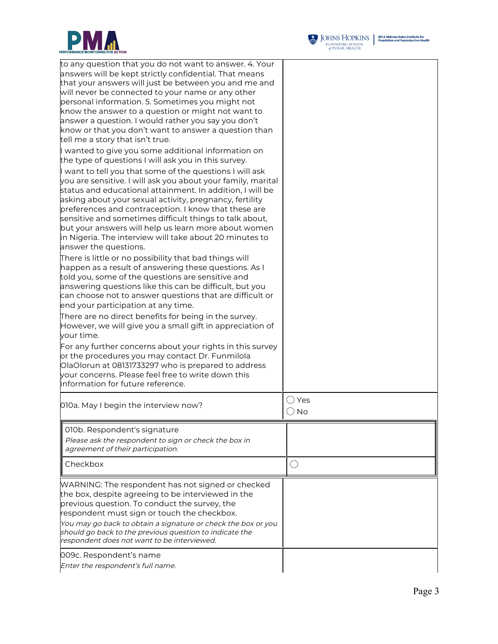



| to any question that you do not want to answer. 4. Your<br>answers will be kept strictly confidential. That means<br>that your answers will just be between you and me and<br>will never be connected to your name or any other<br>personal information. 5. Sometimes you might not<br>know the answer to a question or might not want to<br>answer a question. I would rather you say you don't<br>know or that you don't want to answer a question than<br>tell me a story that isn't true.                   |                |
|-----------------------------------------------------------------------------------------------------------------------------------------------------------------------------------------------------------------------------------------------------------------------------------------------------------------------------------------------------------------------------------------------------------------------------------------------------------------------------------------------------------------|----------------|
| I wanted to give you some additional information on<br>the type of questions I will ask you in this survey.                                                                                                                                                                                                                                                                                                                                                                                                     |                |
| I want to tell you that some of the questions I will ask<br>you are sensitive. I will ask you about your family, marital<br>status and educational attainment. In addition, I will be<br>asking about your sexual activity, pregnancy, fertility<br>preferences and contraception. I know that these are<br>sensitive and sometimes difficult things to talk about,<br>but your answers will help us learn more about women<br>in Nigeria. The interview will take about 20 minutes to<br>answer the questions. |                |
| There is little or no possibility that bad things will<br>happen as a result of answering these questions. As I<br>told you, some of the questions are sensitive and<br>answering questions like this can be difficult, but you<br>can choose not to answer questions that are difficult or<br>end your participation at any time.                                                                                                                                                                              |                |
| There are no direct benefits for being in the survey.<br>However, we will give you a small gift in appreciation of<br>your time.                                                                                                                                                                                                                                                                                                                                                                                |                |
| For any further concerns about your rights in this survey<br>or the procedures you may contact Dr. Funmilola<br>OlaOlorun at 08131733297 who is prepared to address<br>your concerns. Please feel free to write down this<br>information for future reference.                                                                                                                                                                                                                                                  |                |
| 010a. May I begin the interview now?                                                                                                                                                                                                                                                                                                                                                                                                                                                                            | ○ Yes<br>(∪ No |
| 010b. Respondent's signature<br>Please ask the respondent to sign or check the box in<br>agreement of their participation.                                                                                                                                                                                                                                                                                                                                                                                      |                |
| Checkbox                                                                                                                                                                                                                                                                                                                                                                                                                                                                                                        | $\bigcirc$     |
| WARNING: The respondent has not signed or checked<br>the box, despite agreeing to be interviewed in the<br>previous question. To conduct the survey, the<br>respondent must sign or touch the checkbox.<br>You may go back to obtain a signature or check the box or you<br>should go back to the previous question to indicate the<br>respondent does not want to be interviewed.                                                                                                                              |                |
| 009c. Respondent's name<br>Enter the respondent's full name.                                                                                                                                                                                                                                                                                                                                                                                                                                                    |                |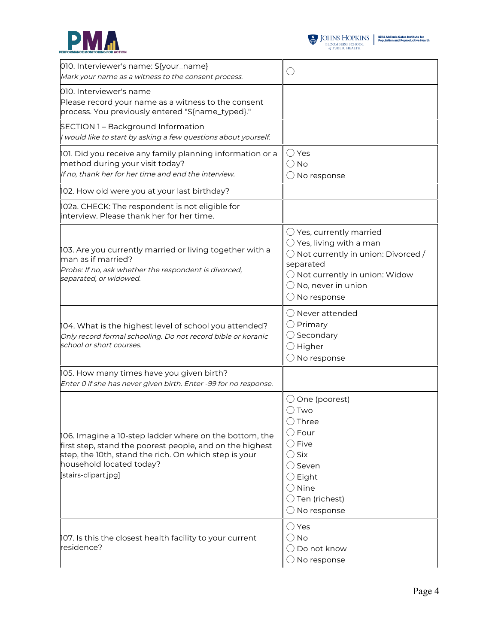



| 010. Interviewer's name: \${your_name}<br>Mark your name as a witness to the consent process.                                                                                                                                   | ()                                                                                                                                                                                                                                          |
|---------------------------------------------------------------------------------------------------------------------------------------------------------------------------------------------------------------------------------|---------------------------------------------------------------------------------------------------------------------------------------------------------------------------------------------------------------------------------------------|
| 010. Interviewer's name<br>Please record your name as a witness to the consent<br>process. You previously entered "\${name_typed}."                                                                                             |                                                                                                                                                                                                                                             |
| SECTION 1 - Background Information<br>I would like to start by asking a few questions about yourself.                                                                                                                           |                                                                                                                                                                                                                                             |
| 101. Did you receive any family planning information or a<br>method during your visit today?<br>If no, thank her for her time and end the interview.                                                                            | $\bigcirc$ Yes<br>$\bigcirc$ No<br>$\bigcirc$ No response                                                                                                                                                                                   |
| 102. How old were you at your last birthday?                                                                                                                                                                                    |                                                                                                                                                                                                                                             |
| 102a. CHECK: The respondent is not eligible for<br>linterview. Please thank her for her time.                                                                                                                                   |                                                                                                                                                                                                                                             |
| 103. Are you currently married or living together with a<br>man as if married?<br>Probe: If no, ask whether the respondent is divorced,<br>separated, or widowed.                                                               | $\bigcirc$ Yes, currently married<br>$\bigcirc$ Yes, living with a man<br>$\bigcirc$ Not currently in union: Divorced /<br>separated<br>$\bigcirc$ Not currently in union: Widow<br>$\bigcirc$ No, never in union<br>$\bigcirc$ No response |
| 104. What is the highest level of school you attended?<br>Only record formal schooling. Do not record bible or koranic<br>school or short courses.                                                                              | () Never attended<br>$\bigcirc$ Primary<br>Secondary<br>$\bigcirc$ Higher<br>No response                                                                                                                                                    |
| 105. How many times have you given birth?<br>Enter 0 if she has never given birth. Enter -99 for no response.                                                                                                                   |                                                                                                                                                                                                                                             |
| 106. Imagine a 10-step ladder where on the bottom, the<br>first step, stand the poorest people, and on the highest<br>step, the 10th, stand the rich. On which step is your<br>household located today?<br>[stairs-clipart.jpg] | $\bigcirc$ One (poorest)<br>()Two<br>()Three<br>$\bigcirc$ Four<br>$\bigcirc$ Five<br>$\bigcirc$ Six<br>◯ Seven<br>$\bigcirc$ Eight<br>$\bigcirc$ Nine<br>$\bigcirc$ Ten (richest)<br>$\bigcirc$ No response                                |
| 107. Is this the closest health facility to your current<br>residence?                                                                                                                                                          | $\bigcirc$ Yes<br>() No<br>Do not know<br>$\bigcirc$ No response                                                                                                                                                                            |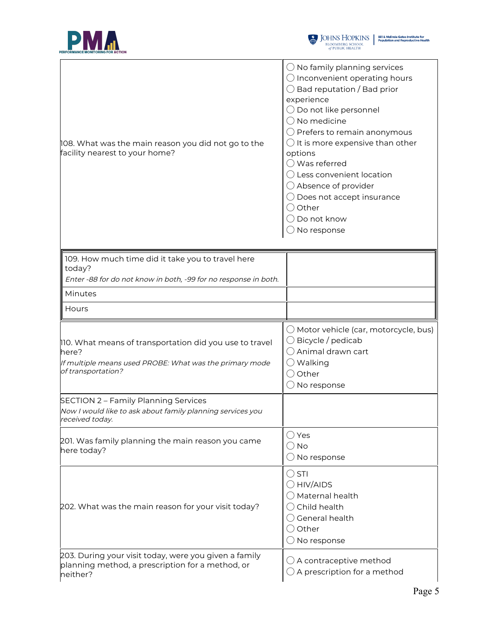



| 108. What was the main reason you did not go to the<br>facility nearest to your home?                                                             | $\bigcirc$ No family planning services<br>$\bigcirc$ Inconvenient operating hours<br>$\bigcirc$ Bad reputation / Bad prior<br>experience<br>◯ Do not like personnel<br>$\bigcirc$ No medicine<br>$\bigcirc$ Prefers to remain anonymous<br>It is more expensive than other<br>options<br>$\bigcirc$ Was referred<br>Less convenient location<br>$\bigcirc$ Absence of provider<br>$\bigcirc$ Does not accept insurance<br>$\bigcirc$ Other<br>Do not know<br>No response |
|---------------------------------------------------------------------------------------------------------------------------------------------------|--------------------------------------------------------------------------------------------------------------------------------------------------------------------------------------------------------------------------------------------------------------------------------------------------------------------------------------------------------------------------------------------------------------------------------------------------------------------------|
| 109. How much time did it take you to travel here                                                                                                 |                                                                                                                                                                                                                                                                                                                                                                                                                                                                          |
| today?<br>Enter -88 for do not know in both, -99 for no response in both.                                                                         |                                                                                                                                                                                                                                                                                                                                                                                                                                                                          |
| Minutes                                                                                                                                           |                                                                                                                                                                                                                                                                                                                                                                                                                                                                          |
| Hours                                                                                                                                             |                                                                                                                                                                                                                                                                                                                                                                                                                                                                          |
| 110. What means of transportation did you use to travel<br>here?<br>If multiple means used PROBE: What was the primary mode<br>of transportation? | $\bigcirc$ Motor vehicle (car, motorcycle, bus)<br>$\bigcirc$ Bicycle / pedicab<br>◯ Animal drawn cart<br>$\bigcirc$ Walking<br>$\bigcirc$ Other<br>No response                                                                                                                                                                                                                                                                                                          |
| SECTION 2 - Family Planning Services<br>Now I would like to ask about family planning services you<br>received today.                             |                                                                                                                                                                                                                                                                                                                                                                                                                                                                          |
| 201. Was family planning the main reason you came<br>here today?                                                                                  | $\bigcirc$ Yes<br>$\bigcirc$ No<br>$\bigcirc$ No response                                                                                                                                                                                                                                                                                                                                                                                                                |
| 202. What was the main reason for your visit today?                                                                                               | $\bigcirc$ STI<br>$\bigcirc$ HIV/AIDS<br>Maternal health<br>Child health<br>$\bigcirc$ General health<br>Other<br>$( \ )$<br>$\bigcirc$ No response                                                                                                                                                                                                                                                                                                                      |
| 203. During your visit today, were you given a family<br>planning method, a prescription for a method, or<br>neither?                             | $\bigcirc$ A contraceptive method<br>A prescription for a method                                                                                                                                                                                                                                                                                                                                                                                                         |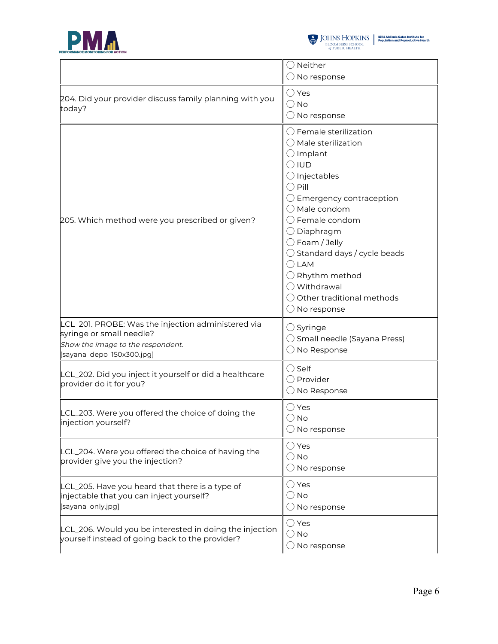



|                                                                                                                                                  | $\bigcirc$ Neither<br>$\bigcirc$ No response                                                                                                                                                                                                                                                                                                                                                                                                                           |
|--------------------------------------------------------------------------------------------------------------------------------------------------|------------------------------------------------------------------------------------------------------------------------------------------------------------------------------------------------------------------------------------------------------------------------------------------------------------------------------------------------------------------------------------------------------------------------------------------------------------------------|
| 204. Did your provider discuss family planning with you<br>today?                                                                                | $\bigcirc$ Yes<br>$\bigcirc$ No<br>$\bigcirc$ No response                                                                                                                                                                                                                                                                                                                                                                                                              |
| 205. Which method were you prescribed or given?                                                                                                  | $\bigcirc$ Female sterilization<br>$\bigcirc$ Male sterilization<br>$\bigcirc$ Implant<br>$\bigcirc$ iud<br>$\bigcirc$ Injectables<br>() Pill<br>$\bigcirc$ Emergency contraception<br>$\bigcirc$ Male condom<br>$\bigcirc$ Female condom<br>$\bigcirc$ Diaphragm<br>$\bigcirc$ Foam / Jelly<br>$\bigcirc$ Standard days / cycle beads<br>$\bigcirc$ LAM<br>$\bigcirc$ Rhythm method<br>◯ Withdrawal<br>$\bigcirc$ Other traditional methods<br>$\bigcirc$ No response |
| LCL_201. PROBE: Was the injection administered via<br>syringe or small needle?<br>Show the image to the respondent.<br>[sayana_depo_150x300.jpg] | $\bigcirc$ Syringe<br>$\bigcirc$ Small needle (Sayana Press)<br>No Response                                                                                                                                                                                                                                                                                                                                                                                            |
| LCL_202. Did you inject it yourself or did a healthcare<br>provider do it for you?                                                               | $\bigcirc$ Self<br>○ Provider<br>$\bigcirc$ No Response                                                                                                                                                                                                                                                                                                                                                                                                                |
| LCL_203. Were you offered the choice of doing the<br>injection yourself?                                                                         | $\bigcirc$ Yes<br>$\bigcirc$ No<br>$\bigcirc$ No response                                                                                                                                                                                                                                                                                                                                                                                                              |
| LCL_204. Were you offered the choice of having the<br>provider give you the injection?                                                           | $\bigcirc$ Yes<br>$\bigcirc$ No<br>$\bigcirc$ No response                                                                                                                                                                                                                                                                                                                                                                                                              |
| LCL_205. Have you heard that there is a type of<br>injectable that you can inject yourself?<br>[sayana_only.jpg]                                 | $\bigcirc$ Yes<br>$\bigcirc$ No<br>$\bigcirc$ No response                                                                                                                                                                                                                                                                                                                                                                                                              |
| LCL_206. Would you be interested in doing the injection<br>yourself instead of going back to the provider?                                       | $\bigcirc$ Yes<br>$\bigcirc$ No<br>$\bigcirc$ No response                                                                                                                                                                                                                                                                                                                                                                                                              |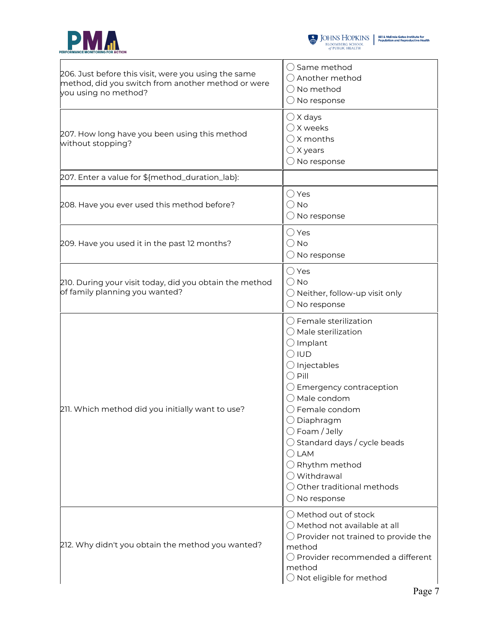



| 206. Just before this visit, were you using the same<br>method, did you switch from another method or were<br>you using no method? | $\bigcirc$ Same method<br>$\bigcirc$ Another method<br>$\bigcirc$ No method<br>$\bigcirc$ No response                                                                                                                                                                                                                                                                                                                                                                  |
|------------------------------------------------------------------------------------------------------------------------------------|------------------------------------------------------------------------------------------------------------------------------------------------------------------------------------------------------------------------------------------------------------------------------------------------------------------------------------------------------------------------------------------------------------------------------------------------------------------------|
| 207. How long have you been using this method<br>without stopping?                                                                 | $\bigcirc$ X days<br>◯ X weeks<br>$\bigcirc$ X months<br>$\bigcirc$ X years<br>$\bigcirc$ No response                                                                                                                                                                                                                                                                                                                                                                  |
| 207. Enter a value for \${method_duration_lab}:                                                                                    |                                                                                                                                                                                                                                                                                                                                                                                                                                                                        |
| 208. Have you ever used this method before?                                                                                        | $\bigcirc$ Yes<br>$\bigcirc$ No<br>$\bigcirc$ No response                                                                                                                                                                                                                                                                                                                                                                                                              |
| 209. Have you used it in the past 12 months?                                                                                       | $\bigcirc$ Yes<br>$\bigcirc$ No<br>$\bigcirc$ No response                                                                                                                                                                                                                                                                                                                                                                                                              |
| 210. During your visit today, did you obtain the method<br>of family planning you wanted?                                          | $\bigcirc$ Yes<br>$\bigcirc$ No<br>$\bigcirc$ Neither, follow-up visit only<br>$\bigcirc$ No response                                                                                                                                                                                                                                                                                                                                                                  |
| 211. Which method did you initially want to use?                                                                                   | $\bigcirc$ Female sterilization<br>$\bigcirc$ Male sterilization<br>$\bigcirc$ Implant<br>$\bigcirc$ iud<br>$\bigcirc$ Injectables<br>$\bigcirc$ Pill<br>$\bigcirc$ Emergency contraception<br>$\bigcirc$ Male condom<br>$\bigcirc$ Female condom<br>$\bigcirc$ Diaphragm<br>$\bigcirc$ Foam / Jelly<br>$\bigcirc$ Standard days / cycle beads<br>() LAM<br>$\bigcirc$ Rhythm method<br>◯ Withdrawal<br>$\bigcirc$ Other traditional methods<br>$\bigcirc$ No response |
| 212. Why didn't you obtain the method you wanted?                                                                                  | $\bigcirc$ Method out of stock<br>$\bigcirc$ Method not available at all<br>$\bigcirc$ Provider not trained to provide the<br>method<br>$\bigcirc$ Provider recommended a different<br>method<br>$\bigcirc$ Not eligible for method                                                                                                                                                                                                                                    |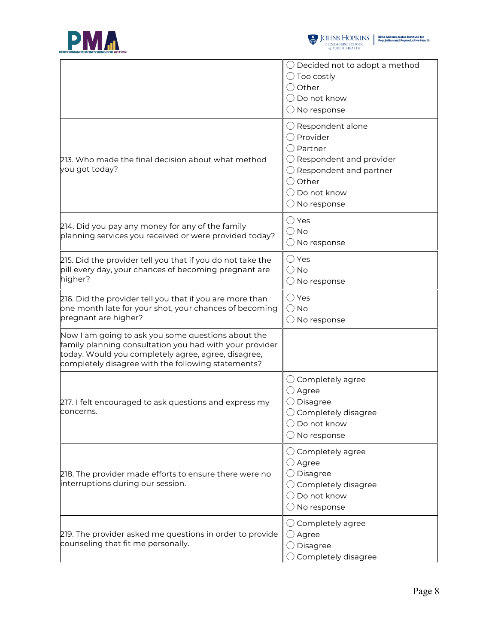



|                                                                                                                                                                                                                            | $\bigcirc$ Decided not to adopt a method<br>$\bigcirc$ Too costly<br>$\bigcirc$ Other<br>$\bigcirc$ Do not know<br>$\bigcirc$ No response                                                                            |
|----------------------------------------------------------------------------------------------------------------------------------------------------------------------------------------------------------------------------|----------------------------------------------------------------------------------------------------------------------------------------------------------------------------------------------------------------------|
| 213. Who made the final decision about what method<br>you got today?                                                                                                                                                       | $\bigcirc$ Respondent alone<br>$\bigcirc$ Provider<br>( ) Partner<br>$\bigcirc$ Respondent and provider<br>$\bigcirc$ Respondent and partner<br>$\bigcirc$ Other<br>$\bigcirc$ Do not know<br>$\bigcirc$ No response |
| 214. Did you pay any money for any of the family<br>planning services you received or were provided today?                                                                                                                 | ○ Yes<br>$\bigcirc$ No<br>$\bigcirc$ No response                                                                                                                                                                     |
| 215. Did the provider tell you that if you do not take the<br>pill every day, your chances of becoming pregnant are<br>higher?                                                                                             | $\bigcirc$ Yes<br>$\bigcirc$ No<br>$\bigcirc$ No response                                                                                                                                                            |
| 216. Did the provider tell you that if you are more than<br>one month late for your shot, your chances of becoming<br>pregnant are higher?                                                                                 | $\bigcirc$ Yes<br>$\bigcirc$ No<br>$\bigcirc$ No response                                                                                                                                                            |
| Now I am going to ask you some questions about the<br>family planning consultation you had with your provider<br>today. Would you completely agree, agree, disagree,<br>completely disagree with the following statements? |                                                                                                                                                                                                                      |
| 217. I felt encouraged to ask questions and express my<br>concerns.                                                                                                                                                        | $\bigcirc$ Completely agree<br>$\bigcirc$ Agree<br>$\bigcirc$ Disagree<br>$\bigcirc$ Completely disagree<br>$\bigcirc$ Do not know<br>$\bigcirc$ No response                                                         |
| $2$ 18. The provider made efforts to ensure there were no<br>interruptions during our session.                                                                                                                             | $\bigcirc$ Completely agree<br>$\bigcirc$ Agree<br>$\bigcirc$ Disagree<br>$\bigcirc$ Completely disagree<br>$\bigcirc$ Do not know<br>$\bigcirc$ No response                                                         |
| 219. The provider asked me questions in order to provide<br>counseling that fit me personally.                                                                                                                             | $\bigcirc$ Completely agree<br>$\bigcirc$ Agree<br>$\bigcirc$ Disagree<br>$\bigcirc$ Completely disagree                                                                                                             |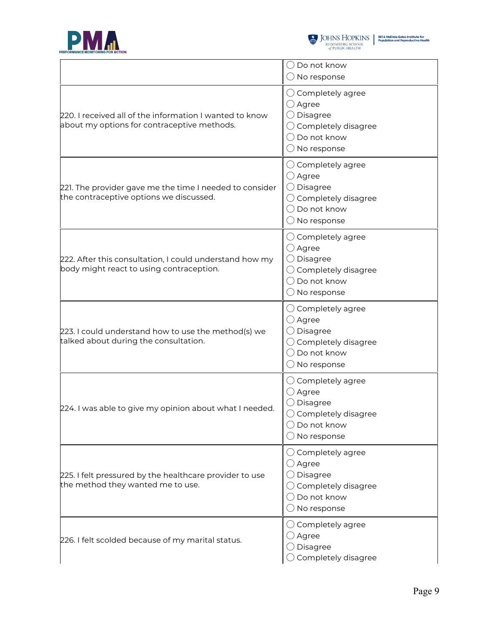



|                                                                                                        | $\bigcirc$ Do not know<br>$\bigcirc$ No response                                                                                                             |
|--------------------------------------------------------------------------------------------------------|--------------------------------------------------------------------------------------------------------------------------------------------------------------|
| 220. I received all of the information I wanted to know<br>about my options for contraceptive methods. | $\bigcirc$ Completely agree<br>$\bigcirc$ Agree<br>$\bigcirc$ Disagree<br>$\bigcirc$ Completely disagree<br>$\bigcirc$ Do not know<br>$\bigcirc$ No response |
| 221. The provider gave me the time I needed to consider<br>the contraceptive options we discussed.     | $\bigcirc$ Completely agree<br>$\bigcirc$ Agree<br>$\bigcirc$ Disagree<br>$\bigcirc$ Completely disagree<br>$\bigcirc$ Do not know<br>$\bigcirc$ No response |
| 222. After this consultation, I could understand how my<br>body might react to using contraception.    | $\bigcirc$ Completely agree<br>$\bigcirc$ Agree<br>$\bigcirc$ Disagree<br>$\bigcirc$ Completely disagree<br>$\bigcirc$ Do not know<br>$\bigcirc$ No response |
| 223. I could understand how to use the method(s) we<br>talked about during the consultation.           | $\bigcirc$ Completely agree<br>$\bigcirc$ Agree<br>$\bigcirc$ Disagree<br>$\bigcirc$ Completely disagree<br>$\bigcirc$ Do not know<br>$\bigcirc$ No response |
| 224. I was able to give my opinion about what I needed.                                                | $\bigcirc$ Completely agree<br>$\bigcirc$ Agree<br>$\bigcirc$ Disagree<br>$\bigcirc$ Completely disagree<br>$\bigcirc$ Do not know<br>$\bigcirc$ No response |
| 225. I felt pressured by the healthcare provider to use<br>the method they wanted me to use.           | $\bigcirc$ Completely agree<br>$\bigcirc$ Agree<br>$\bigcirc$ Disagree<br>$\bigcirc$ Completely disagree<br>$\bigcirc$ Do not know<br>$\bigcirc$ No response |
| 226. I felt scolded because of my marital status.                                                      | $\bigcirc$ Completely agree<br>$\bigcirc$ Agree<br>$\bigcirc$ Disagree<br>Completely disagree                                                                |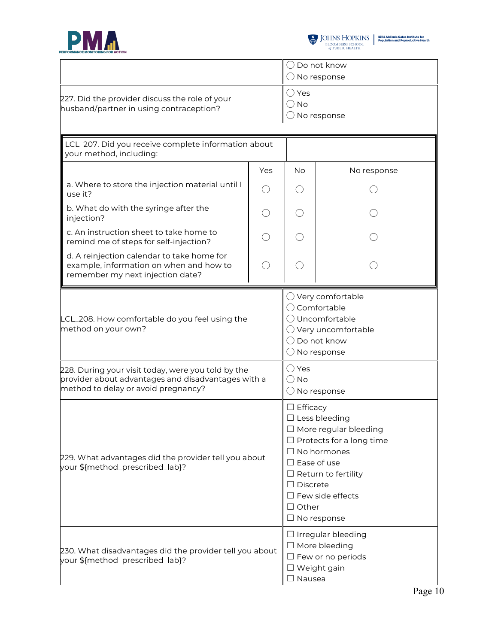



|                                                                                                                                                 |     | $\bigcirc$ Do not know<br>$\bigcirc$ No response                                                                                                                                                                                                                            |             |  |
|-------------------------------------------------------------------------------------------------------------------------------------------------|-----|-----------------------------------------------------------------------------------------------------------------------------------------------------------------------------------------------------------------------------------------------------------------------------|-------------|--|
| 227. Did the provider discuss the role of your<br>husband/partner in using contraception?                                                       |     | $\bigcirc$ Yes<br>$\bigcirc$ No<br>No response                                                                                                                                                                                                                              |             |  |
| LCL_207. Did you receive complete information about<br>your method, including:                                                                  |     |                                                                                                                                                                                                                                                                             |             |  |
|                                                                                                                                                 | Yes | <b>No</b>                                                                                                                                                                                                                                                                   | No response |  |
| a. Where to store the injection material until I<br>use it?                                                                                     |     |                                                                                                                                                                                                                                                                             |             |  |
| b. What do with the syringe after the<br>injection?                                                                                             |     |                                                                                                                                                                                                                                                                             |             |  |
| c. An instruction sheet to take home to<br>remind me of steps for self-injection?                                                               |     |                                                                                                                                                                                                                                                                             |             |  |
| d. A reinjection calendar to take home for<br>example, information on when and how to<br>remember my next injection date?                       |     |                                                                                                                                                                                                                                                                             |             |  |
| LCL_208. How comfortable do you feel using the<br>method on your own?                                                                           |     | $\bigcirc$ Very comfortable<br>○ Comfortable<br>O Uncomfortable<br>$\bigcirc$ Very uncomfortable<br>$\bigcirc$ Do not know<br>$\bigcirc$ No response                                                                                                                        |             |  |
| 228. During your visit today, were you told by the<br>provider about advantages and disadvantages with a<br>method to delay or avoid pregnancy? |     | $\bigcirc$ Yes<br>$\bigcirc$ No<br>$\bigcirc$ No response                                                                                                                                                                                                                   |             |  |
| 229. What advantages did the provider tell you about<br>your \${method_prescribed_lab}?                                                         |     | $\Box$ Efficacy<br>$\Box$ Less bleeding<br>$\Box$ More regular bleeding<br>$\Box$ Protects for a long time<br>$\Box$ No hormones<br>$\square$ Ease of use<br>$\Box$ Return to fertility<br>$\Box$ Discrete<br>$\Box$ Few side effects<br>$\Box$ Other<br>$\Box$ No response |             |  |
| 230. What disadvantages did the provider tell you about<br>your \${method_prescribed_lab}?                                                      |     | $\Box$ Irregular bleeding<br>$\Box$ More bleeding<br>$\square$ Few or no periods<br>□ Weight gain<br>$\Box$ Nausea                                                                                                                                                          |             |  |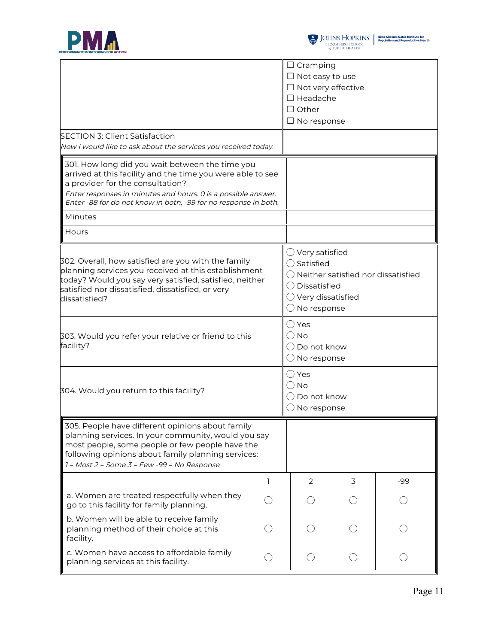



|                                                                                                                                                                                                                                                                   |              | $\Box$ Cramping                                                                                                                                                                         |   |     |  |
|-------------------------------------------------------------------------------------------------------------------------------------------------------------------------------------------------------------------------------------------------------------------|--------------|-----------------------------------------------------------------------------------------------------------------------------------------------------------------------------------------|---|-----|--|
|                                                                                                                                                                                                                                                                   |              | $\Box$ Not easy to use                                                                                                                                                                  |   |     |  |
|                                                                                                                                                                                                                                                                   |              | $\Box$ Not very effective                                                                                                                                                               |   |     |  |
|                                                                                                                                                                                                                                                                   |              | $\Box$ Headache                                                                                                                                                                         |   |     |  |
|                                                                                                                                                                                                                                                                   |              | $\Box$ Other                                                                                                                                                                            |   |     |  |
|                                                                                                                                                                                                                                                                   |              | $\square$ No response                                                                                                                                                                   |   |     |  |
| <b>SECTION 3: Client Satisfaction</b>                                                                                                                                                                                                                             |              |                                                                                                                                                                                         |   |     |  |
| Now I would like to ask about the services you received today.                                                                                                                                                                                                    |              |                                                                                                                                                                                         |   |     |  |
| 301. How long did you wait between the time you<br>arrived at this facility and the time you were able to see<br>a provider for the consultation?<br>Enter responses in minutes and hours. O is a possible answer.                                                |              |                                                                                                                                                                                         |   |     |  |
| Enter -88 for do not know in both, -99 for no response in both.                                                                                                                                                                                                   |              |                                                                                                                                                                                         |   |     |  |
| Minutes                                                                                                                                                                                                                                                           |              |                                                                                                                                                                                         |   |     |  |
| Hours                                                                                                                                                                                                                                                             |              |                                                                                                                                                                                         |   |     |  |
| 302. Overall, how satisfied are you with the family<br>planning services you received at this establishment<br>today? Would you say very satisfied, satisfied, neither<br>satisfied nor dissatisfied, dissatisfied, or very<br>dissatisfied?                      |              | $\bigcirc$ Very satisfied<br>$\bigcirc$ Satisfied<br>$\bigcirc$ Neither satisfied nor dissatisfied<br>$\bigcirc$ Dissatisfied<br>$\bigcirc$ Very dissatisfied<br>$\bigcirc$ No response |   |     |  |
| 303. Would you refer your relative or friend to this<br>facility?                                                                                                                                                                                                 |              | ( ) Yes<br>() No<br>( ) Do not know<br>$\bigcirc$ No response                                                                                                                           |   |     |  |
| 304. Would you return to this facility?                                                                                                                                                                                                                           |              | ( ) Yes<br>( ) No<br>Do not know<br>$\bigcirc$ No response                                                                                                                              |   |     |  |
| 305. People have different opinions about family<br>planning services. In your community, would you say<br>most people, some people or few people have the<br>following opinions about family planning services:<br>$1 = Most 2 = Some 3 = Few -99 = No Response$ |              |                                                                                                                                                                                         |   |     |  |
|                                                                                                                                                                                                                                                                   | $\mathsf{I}$ | 2                                                                                                                                                                                       | 3 | -99 |  |
| a. Women are treated respectfully when they<br>go to this facility for family planning.                                                                                                                                                                           |              |                                                                                                                                                                                         |   |     |  |
| b. Women will be able to receive family<br>planning method of their choice at this<br>facility.                                                                                                                                                                   |              |                                                                                                                                                                                         |   |     |  |
| c. Women have access to affordable family<br>planning services at this facility.                                                                                                                                                                                  |              |                                                                                                                                                                                         |   |     |  |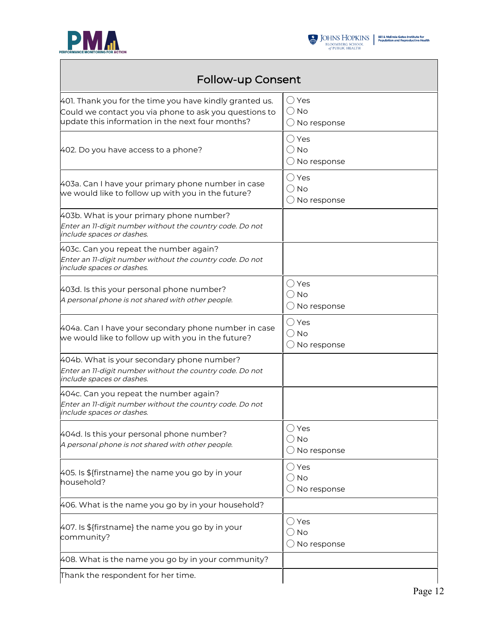



## Follow-up Consent

| 401. Thank you for the time you have kindly granted us.<br>Could we contact you via phone to ask you questions to<br>update this information in the next four months? | () Yes<br><b>No</b><br>$($ )<br>No response       |
|-----------------------------------------------------------------------------------------------------------------------------------------------------------------------|---------------------------------------------------|
| 402. Do you have access to a phone?                                                                                                                                   | $\bigcirc$ Yes<br>() No<br>$\bigcirc$ No response |
| 403a. Can I have your primary phone number in case<br>we would like to follow up with you in the future?                                                              | ○ Yes<br>() No<br>$\bigcirc$ No response          |
| 403b. What is your primary phone number?<br>Enter an 11-digit number without the country code. Do not<br>include spaces or dashes.                                    |                                                   |
| 403c. Can you repeat the number again?<br>Enter an 11-digit number without the country code. Do not<br>include spaces or dashes.                                      |                                                   |
| 403d. Is this your personal phone number?<br>A personal phone is not shared with other people.                                                                        | ( ) Yes<br><b>No</b><br>No response               |
| 404a. Can I have your secondary phone number in case<br>we would like to follow up with you in the future?                                                            | $\bigcirc$ Yes<br>( ) No<br>No response           |
| 404b. What is your secondary phone number?<br>Enter an 11-digit number without the country code. Do not<br>include spaces or dashes.                                  |                                                   |
| 404c. Can you repeat the number again?<br>Enter an 11-digit number without the country code. Do not<br>include spaces or dashes.                                      |                                                   |
| 404d. Is this your personal phone number?<br>A personal phone is not shared with other people.                                                                        | ( )Yes<br>No<br>$\bigcirc$ No response            |
| 405. Is \${firstname} the name you go by in your<br>household?                                                                                                        | $\bigcirc$ Yes<br>○ No<br>$\bigcirc$ No response  |
| 406. What is the name you go by in your household?                                                                                                                    |                                                   |
| 407. Is \${firstname} the name you go by in your<br>community?                                                                                                        | ○ Yes<br>No<br>No response                        |
| 408. What is the name you go by in your community?                                                                                                                    |                                                   |
| Thank the respondent for her time.                                                                                                                                    |                                                   |